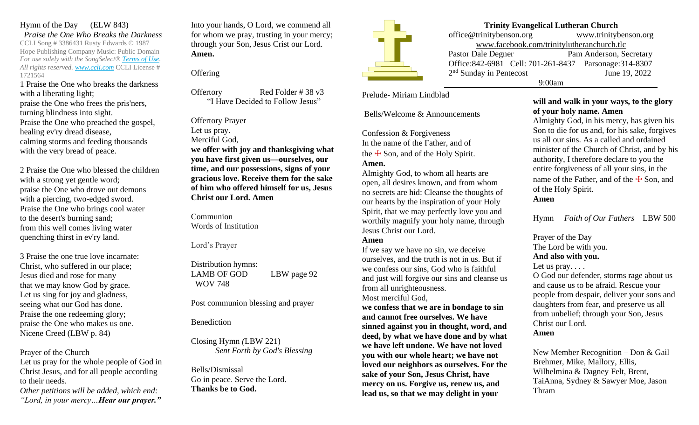Hymn of the Day (ELW 843) *Praise the One Who Breaks the Darkness* CCLI Song # 3386431 Rusty Edwards © 1987 Hope Publishing Company Music: Public Domain *For use solely with the SongSelect® [Terms of Use.](https://songselect.ccli.com/about/termsofuse) All rights reserved. [www.ccli.com](http://www.ccli.com/)* CCLI License # 1721564

1 Praise the One who breaks the darkness with a liberating light;

praise the One who frees the pris'ners, turning blindness into sight. Praise the One who preached the gospel, healing ev'ry dread disease, calming storms and feeding thousands with the very bread of peace.

2 Praise the One who blessed the children with a strong yet gentle word; praise the One who drove out demons with a piercing, two-edged sword. Praise the One who brings cool water to the desert's burning sand; from this well comes living water quenching thirst in ev'ry land.

3 Praise the one true love incarnate: Christ, who suffered in our place; Jesus died and rose for many that we may know God by grace. Let us sing for joy and gladness, seeing what our God has done. Praise the one redeeming glory; praise the One who makes us one. Nicene Creed (LBW p. 84)

Prayer of the Church Let us pray for the whole people of God in Christ Jesus, and for all people according to their needs.

*Other petitions will be added, which end: "Lord, in your mercy…Hear our prayer."* Into your hands, O Lord, we commend all for whom we pray, trusting in your mercy; through your Son, Jesus Crist our Lord. **Amen.**

**Offering** 

Offertory Red Folder # 38 v3 "I Have Decided to Follow Jesus"

Offertory Prayer Let us pray. Merciful God, **we offer with joy and thanksgiving what you have first given us—ourselves, our time, and our possessions, signs of your gracious love. Receive them for the sake of him who offered himself for us, Jesus** 

**Communion** Words of Institution

**Christ our Lord. Amen**

Lord's Prayer

Distribution hymns: LAMB OF GOD LBW page 92 WOV 748

Post communion blessing and prayer

## Benediction

Closing Hymn *(*LBW 221) *Sent Forth by God's Blessing*

Bells/Dismissal Go in peace. Serve the Lord. **Thanks be to God.**



# **Trinity Evangelical Lutheran Church**

office@trinitybenson.org [www.trinitybenson.org](http://www.trinitybenson.org/) [www.facebook.com/trinitylutheranchurch.tlc](http://www.facebook.com/trinitylutheranchurch.tlc) Pastor Dale Degner Pam Anderson, Secretary Office:842-6981 Cell: 701-261-8437 Parsonage:314-8307 2 nd Sunday in Pentecost June 19, 2022 9:00am

Prelude- Miriam Lindblad

Bells/Welcome & Announcements

Confession & Forgiveness In the name of the Father, and of the  $\pm$  Son, and of the Holy Spirit. **Amen.**

Almighty God, to whom all hearts are open, all desires known, and from whom no secrets are hid: Cleanse the thoughts of our hearts by the inspiration of your Holy Spirit, that we may perfectly love you and worthily magnify your holy name, through Jesus Christ our Lord.

### **Amen**

If we say we have no sin, we deceive ourselves, and the truth is not in us. But if we confess our sins, God who is faithful and just will forgive our sins and cleanse us from all unrighteousness.

Most merciful God,

**we confess that we are in bondage to sin and cannot free ourselves. We have sinned against you in thought, word, and deed, by what we have done and by what we have left undone. We have not loved you with our whole heart; we have not loved our neighbors as ourselves. For the sake of your Son, Jesus Christ, have mercy on us. Forgive us, renew us, and lead us, so that we may delight in your** 

### **will and walk in your ways, to the glory of your holy name. Amen**

Almighty God, in his mercy, has given his Son to die for us and, for his sake, forgives us all our sins. As a called and ordained minister of the Church of Christ, and by his authority, I therefore declare to you the entire forgiveness of all your sins, in the name of the Father, and of the  $\pm$  Son, and of the Holy Spirit. **Amen**

Hymn *Faith of Our Fathers* LBW 500

Prayer of the Day The Lord be with you.

#### **And also with you.**

Let us pray....

O God our defender, storms rage about us and cause us to be afraid. Rescue your people from despair, deliver your sons and daughters from fear, and preserve us all from unbelief; through your Son, Jesus Christ our Lord. **Amen**

New Member Recognition – Don & Gail Brehmer, Mike, Mallory, Ellis, Wilhelmina & Dagney Felt, Brent, TaiAnna, Sydney & Sawyer Moe, Jason Thram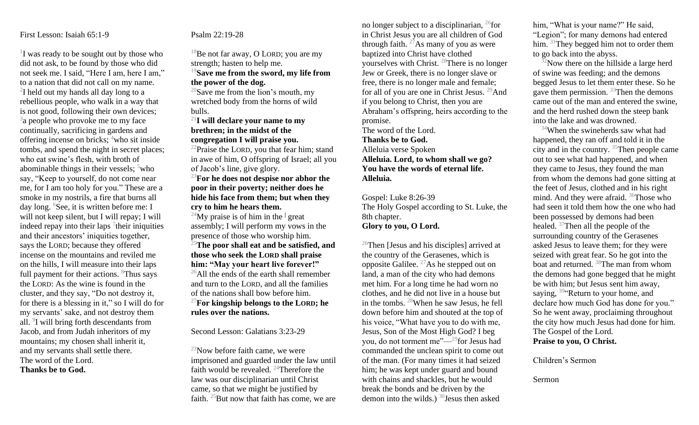#### First Lesson: Isaiah 65:1-9

<sup>1</sup>I was ready to be sought out by those who did not ask, to be found by those who did not seek me. I said, "Here I am, here I am," to a nation that did not call on my name. <sup>2</sup>I held out my hands all day long to a rebellious people, who walk in a way that is not good, following their own devices; <sup>3</sup>a people who provoke me to my face continually, sacrificing in gardens and offering incense on bricks;  $4$ who sit inside tombs, and spend the night in secret places; who eat swine's flesh, with broth of abominable things in their vessels;  $5$ who say, "Keep to yourself, do not come near me, for I am too holy for you." These are a smoke in my nostrils, a fire that burns all day long.  ${}^{6}$ See, it is written before me: I will not keep silent, but I will repay; I will indeed repay into their laps  $\frac{7}{1}$ their iniquities and their ancestors' iniquities together, says the LORD; because they offered incense on the mountains and reviled me on the hills, I will measure into their laps full payment for their actions. <sup>8</sup>Thus says the LORD: As the wine is found in the cluster, and they say, "Do not destroy it, for there is a blessing in it," so I will do for my servants' sake, and not destroy them all. <sup>9</sup>I will bring forth descendants from Jacob, and from Judah inheritors of my mountains; my chosen shall inherit it, and my servants shall settle there. The word of the Lord. **Thanks be to God.**

### Psalm 22:19-28

 $18$ Be not far away, O LORD; you are my strength; hasten to help me.

# <sup>19</sup>**Save me from the sword, my life from the power of the dog.**

<sup>20</sup>Save me from the lion's mouth, my wretched body from the horns of wild bulls.

## <sup>21</sup>**I will declare your name to my brethren; in the midst of the congregation I will praise you.**

<sup>22</sup>Praise the LORD, you that fear him; stand in awe of him, O offspring of Israel; all you of Jacob's line, give glory.

<sup>23</sup>**For he does not despise nor abhor the poor in their poverty; neither does he hide his face from them; but when they cry to him he hears them.**

<sup>24</sup>My praise is of him in the  $\frac{1}{2}$  great assembly; I will perform my vows in the presence of those who worship him.

<sup>25</sup>**The poor shall eat and be satisfied, and those who seek the LORD shall praise him: "May your heart live forever!"**  $^{26}$ All the ends of the earth shall remember and turn to the LORD, and all the families of the nations shall bow before him.

# <sup>27</sup>**For kingship belongs to the LORD; he rules over the nations.**

#### Second Lesson: Galatians 3:23-29

 $^{23}$ Now before faith came, we were imprisoned and guarded under the law until faith would be revealed. <sup>24</sup>Therefore the law was our disciplinarian until Christ came, so that we might be justified by faith.  $25$ But now that faith has come, we are no longer subject to a disciplinarian,  $^{26}$  for in Christ Jesus you are all children of God through faith.  $27$ As many of you as were baptized into Christ have clothed yourselves with Christ. <sup>28</sup>There is no longer Jew or Greek, there is no longer slave or free, there is no longer male and female; for all of you are one in Christ Jesus. <sup>29</sup>And if you belong to Christ, then you are Abraham's offspring, heirs according to the promise.

The word of the Lord.

**Thanks be to God.**

Alleluia verse Spoken **Alleluia. Lord, to whom shall we go? You have the words of eternal life. Alleluia.**

# Gospel: Luke 8:26-39 The Holy Gospel according to St. Luke, the 8th chapter.

## **Glory to you, O Lord.**

 $26$ Then [Jesus and his disciples] arrived at the country of the Gerasenes, which is opposite Galilee.  $^{27}$ As he stepped out on land, a man of the city who had demons met him. For a long time he had worn no clothes, and he did not live in a house but in the tombs. <sup>28</sup>When he saw Jesus, he fell down before him and shouted at the top of his voice, "What have you to do with me, Jesus, Son of the Most High God? I beg you, do not torment me"—<sup>29</sup>for Jesus had commanded the unclean spirit to come out of the man. (For many times it had seized him; he was kept under guard and bound with chains and shackles, but he would break the bonds and be driven by the demon into the wilds.)  $30$  Jesus then asked

him, "What is your name?" He said, "Legion"; for many demons had entered him. <sup>31</sup>They begged him not to order them to go back into the abyss.

 $32$ Now there on the hillside a large herd of swine was feeding; and the demons begged Jesus to let them enter these. So he gave them permission.  $33$ Then the demons came out of the man and entered the swine, and the herd rushed down the steep bank into the lake and was drowned.

<sup>34</sup>When the swineherds saw what had happened, they ran off and told it in the city and in the country. <sup>35</sup>Then people came out to see what had happened, and when they came to Jesus, they found the man from whom the demons had gone sitting at the feet of Jesus, clothed and in his right mind. And they were afraid. <sup>36</sup>Those who had seen it told them how the one who had been possessed by demons had been healed. <sup>37</sup>Then all the people of the surrounding country of the Gerasenes asked Jesus to leave them; for they were seized with great fear. So he got into the boat and returned. <sup>38</sup>The man from whom the demons had gone begged that he might be with him; but Jesus sent him away, saying,  $39$ "Return to your home, and declare how much God has done for you." So he went away, proclaiming throughout the city how much Jesus had done for him. The Gospel of the Lord. **Praise to you, O Christ.**

Children's Sermon